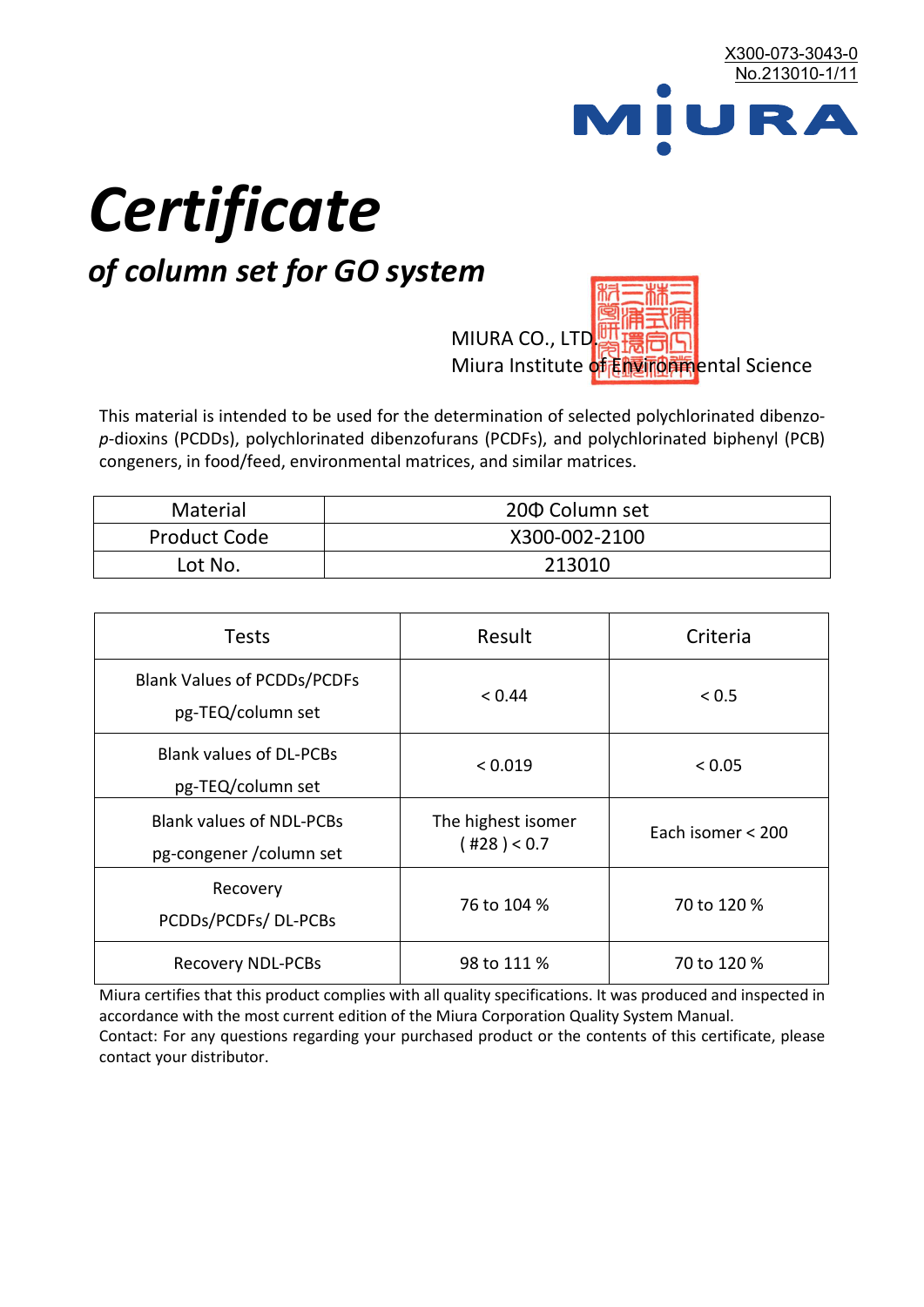

# *Certificate*

## *of column set for GO system*

MIURA CO., LTD. Miura Institute of 正版而解ental Science

This material is intended to be used for the determination of selected polychlorinated dibenzo*p*-dioxins (PCDDs), polychlorinated dibenzofurans (PCDFs), and polychlorinated biphenyl (PCB) congeners, in food/feed, environmental matrices, and similar matrices.

| <b>Material</b>     | 200 Column set |  |
|---------------------|----------------|--|
| <b>Product Code</b> | X300-002-2100  |  |
| Lot No.             | 213010         |  |

| <b>Tests</b>                                                | Result                            | Criteria          |
|-------------------------------------------------------------|-----------------------------------|-------------------|
| <b>Blank Values of PCDDs/PCDFs</b><br>pg-TEQ/column set     | < 0.44                            | < 0.5             |
| <b>Blank values of DL-PCBs</b><br>pg-TEQ/column set         | < 0.019                           | < 0.05            |
| <b>Blank values of NDL-PCBs</b><br>pg-congener / column set | The highest isomer<br>(428) < 0.7 | Each isomer < 200 |
| Recovery<br>PCDDs/PCDFs/DL-PCBs                             | 76 to 104 %                       | 70 to 120 %       |
| <b>Recovery NDL-PCBs</b>                                    | 98 to 111 %                       | 70 to 120 %       |

Miura certifies that this product complies with all quality specifications. It was produced and inspected in accordance with the most current edition of the Miura Corporation Quality System Manual. Contact: For any questions regarding your purchased product or the contents of this certificate, please contact your distributor.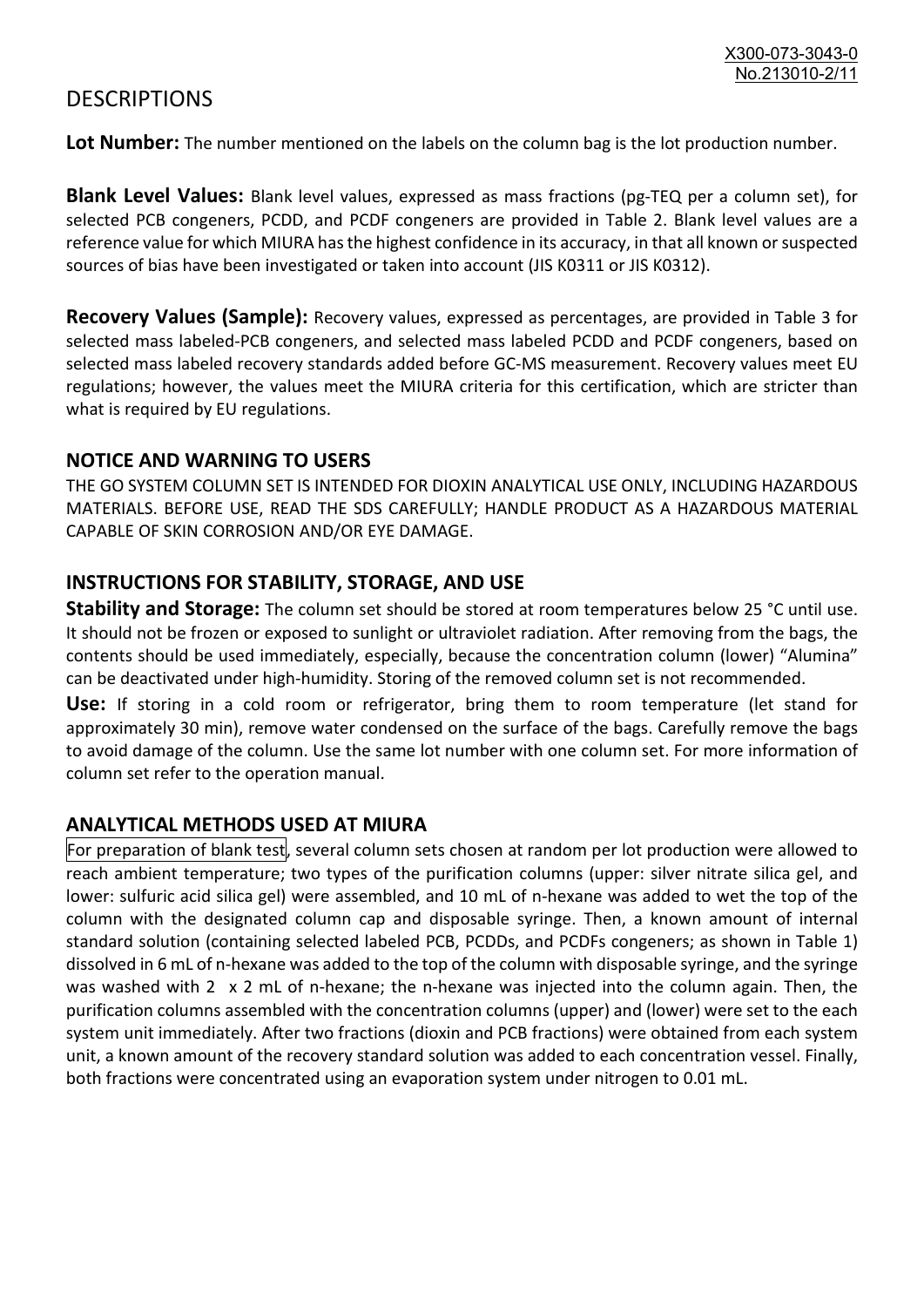### **DESCRIPTIONS**

**Lot Number:** The number mentioned on the labels on the column bag is the lot production number.

**Blank Level Values:** Blank level values, expressed as mass fractions (pg-TEQ per a column set), for selected PCB congeners, PCDD, and PCDF congeners are provided in Table 2. Blank level values are a reference value for which MIURA has the highest confidence in its accuracy, in that all known or suspected sources of bias have been investigated or taken into account (JIS K0311 or JIS K0312).

**Recovery Values (Sample):** Recovery values, expressed as percentages, are provided in Table 3 for selected mass labeled-PCB congeners, and selected mass labeled PCDD and PCDF congeners, based on selected mass labeled recovery standards added before GC-MS measurement. Recovery values meet EU regulations; however, the values meet the MIURA criteria for this certification, which are stricter than what is required by EU regulations.

#### **NOTICE AND WARNING TO USERS**

THE GO SYSTEM COLUMN SET IS INTENDED FOR DIOXIN ANALYTICAL USE ONLY, INCLUDING HAZARDOUS MATERIALS. BEFORE USE, READ THE SDS CAREFULLY; HANDLE PRODUCT AS A HAZARDOUS MATERIAL CAPABLE OF SKIN CORROSION AND/OR EYE DAMAGE.

#### **INSTRUCTIONS FOR STABILITY, STORAGE, AND USE**

**Stability and Storage:** The column set should be stored at room temperatures below 25 °C until use. It should not be frozen or exposed to sunlight or ultraviolet radiation. After removing from the bags, the contents should be used immediately, especially, because the concentration column (lower) "Alumina" can be deactivated under high-humidity. Storing of the removed column set is not recommended.

**Use:** If storing in a cold room or refrigerator, bring them to room temperature (let stand for approximately 30 min), remove water condensed on the surface of the bags. Carefully remove the bags to avoid damage of the column. Use the same lot number with one column set. For more information of column set refer to the operation manual.

#### **ANALYTICAL METHODS USED AT MIURA**

For preparation of blank test, several column sets chosen at random per lot production were allowed to reach ambient temperature; two types of the purification columns (upper: silver nitrate silica gel, and lower: sulfuric acid silica gel) were assembled, and 10 mL of n-hexane was added to wet the top of the column with the designated column cap and disposable syringe. Then, a known amount of internal standard solution (containing selected labeled PCB, PCDDs, and PCDFs congeners; as shown in Table 1) dissolved in 6 mL of n-hexane was added to the top of the column with disposable syringe, and the syringe was washed with 2 x 2 mL of n-hexane; the n-hexane was injected into the column again. Then, the purification columns assembled with the concentration columns (upper) and (lower) were set to the each system unit immediately. After two fractions (dioxin and PCB fractions) were obtained from each system unit, a known amount of the recovery standard solution was added to each concentration vessel. Finally, both fractions were concentrated using an evaporation system under nitrogen to 0.01 mL.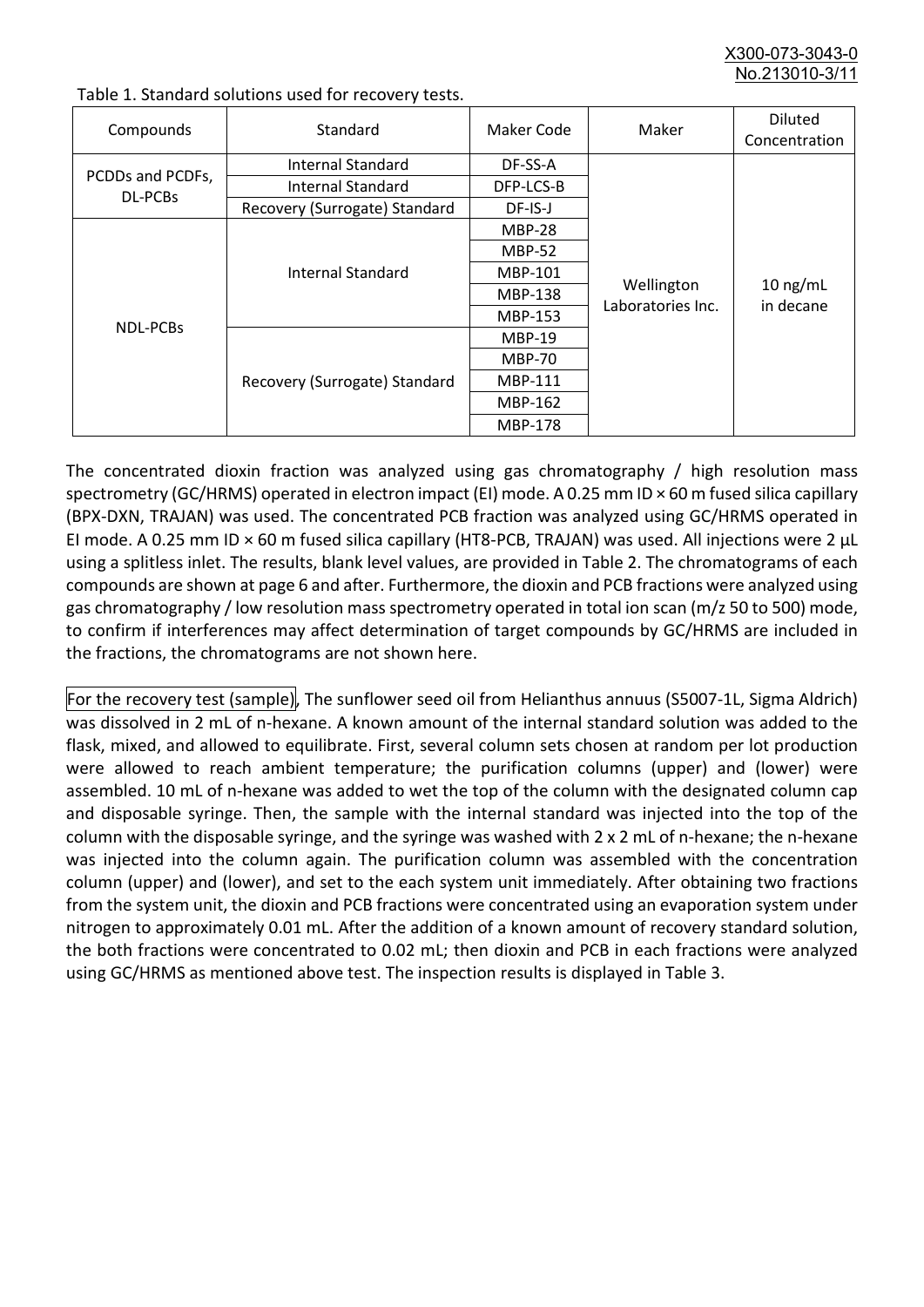X300-073-3043-0 No.213010-3/11

| Compounds                   | Standard                      | Maker Code     | Maker                           | <b>Diluted</b><br>Concentration |
|-----------------------------|-------------------------------|----------------|---------------------------------|---------------------------------|
|                             | Internal Standard             | DF-SS-A        |                                 |                                 |
| PCDDs and PCDFs,<br>DL-PCBs | <b>Internal Standard</b>      | DFP-LCS-B      |                                 |                                 |
|                             | Recovery (Surrogate) Standard | DF-IS-J        |                                 | $10$ ng/mL<br>in decane         |
| NDL-PCBs                    | Internal Standard             | <b>MBP-28</b>  | Wellington<br>Laboratories Inc. |                                 |
|                             |                               | <b>MBP-52</b>  |                                 |                                 |
|                             |                               | MBP-101        |                                 |                                 |
|                             |                               | <b>MBP-138</b> |                                 |                                 |
|                             |                               | MBP-153        |                                 |                                 |
|                             | Recovery (Surrogate) Standard | <b>MBP-19</b>  |                                 |                                 |
|                             |                               | <b>MBP-70</b>  |                                 |                                 |
|                             |                               | <b>MBP-111</b> |                                 |                                 |
|                             |                               | MBP-162        |                                 |                                 |
|                             |                               | <b>MBP-178</b> |                                 |                                 |

Table 1. Standard solutions used for recovery tests.

The concentrated dioxin fraction was analyzed using gas chromatography / high resolution mass spectrometry (GC/HRMS) operated in electron impact (EI) mode. A 0.25 mm ID × 60 m fused silica capillary (BPX-DXN, TRAJAN) was used. The concentrated PCB fraction was analyzed using GC/HRMS operated in EI mode. A 0.25 mm ID × 60 m fused silica capillary (HT8-PCB, TRAJAN) was used. All injections were 2 μL using a splitless inlet. The results, blank level values, are provided in Table 2. The chromatograms of each compounds are shown at page 6 and after. Furthermore, the dioxin and PCB fractions were analyzed using gas chromatography / low resolution mass spectrometry operated in total ion scan (m/z 50 to 500) mode, to confirm if interferences may affect determination of target compounds by GC/HRMS are included in the fractions, the chromatograms are not shown here.

For the recovery test (sample), The sunflower seed oil from Helianthus annuus (S5007-1L, Sigma Aldrich) was dissolved in 2 mL of n-hexane. A known amount of the internal standard solution was added to the flask, mixed, and allowed to equilibrate. First, several column sets chosen at random per lot production were allowed to reach ambient temperature; the purification columns (upper) and (lower) were assembled. 10 mL of n-hexane was added to wet the top of the column with the designated column cap and disposable syringe. Then, the sample with the internal standard was injected into the top of the column with the disposable syringe, and the syringe was washed with 2 x 2 mL of n-hexane; the n-hexane was injected into the column again. The purification column was assembled with the concentration column (upper) and (lower), and set to the each system unit immediately. After obtaining two fractions from the system unit, the dioxin and PCB fractions were concentrated using an evaporation system under nitrogen to approximately 0.01 mL. After the addition of a known amount of recovery standard solution, the both fractions were concentrated to 0.02 mL; then dioxin and PCB in each fractions were analyzed using GC/HRMS as mentioned above test. The inspection results is displayed in Table 3.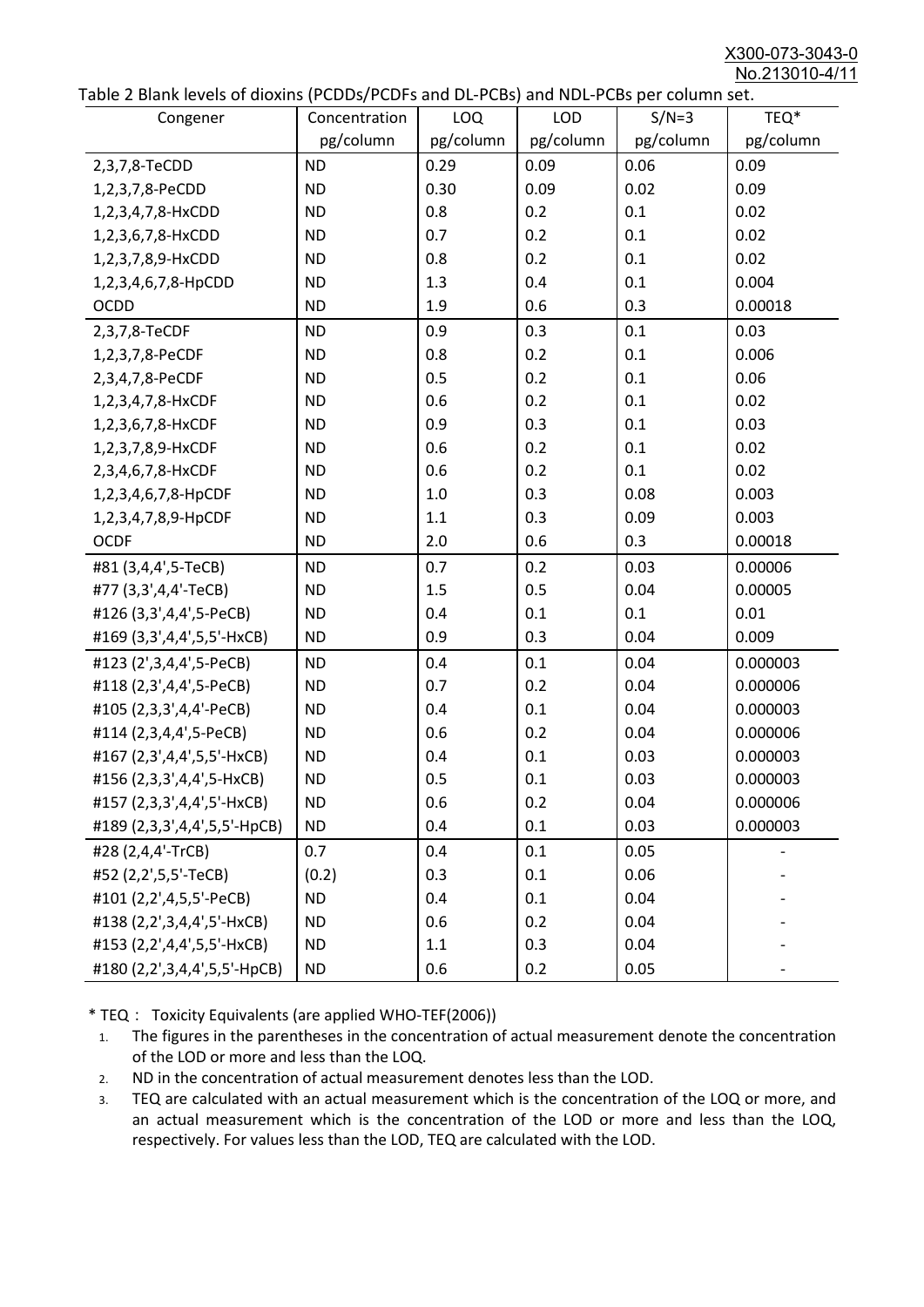X300-073-3043-0 No.213010-4/11

|  |  | Table 2 Blank levels of dioxins (PCDDs/PCDFs and DL-PCBs) and NDL-PCBs per column set. |
|--|--|----------------------------------------------------------------------------------------|
|--|--|----------------------------------------------------------------------------------------|

| able 2 Dialik levels of dioxilis (PCDDs/PCDI's and DL-PCDs) and NDL-PCDs per coldinii set.<br>Congener | Concentration | LOQ       | <b>LOD</b> | $S/N=3$   | TEQ*      |
|--------------------------------------------------------------------------------------------------------|---------------|-----------|------------|-----------|-----------|
|                                                                                                        | pg/column     | pg/column | pg/column  | pg/column | pg/column |
| 2,3,7,8-TeCDD                                                                                          | <b>ND</b>     | 0.29      | 0.09       | 0.06      | 0.09      |
| 1,2,3,7,8-PeCDD                                                                                        | <b>ND</b>     | 0.30      | 0.09       | 0.02      | 0.09      |
| 1,2,3,4,7,8-HxCDD                                                                                      | <b>ND</b>     | 0.8       | 0.2        | 0.1       | 0.02      |
| 1,2,3,6,7,8-HxCDD                                                                                      | <b>ND</b>     | 0.7       | 0.2        | 0.1       | 0.02      |
| 1,2,3,7,8,9-HxCDD                                                                                      | <b>ND</b>     | 0.8       | 0.2        | 0.1       | 0.02      |
| 1,2,3,4,6,7,8-HpCDD                                                                                    | <b>ND</b>     | 1.3       | 0.4        | 0.1       | 0.004     |
| <b>OCDD</b>                                                                                            | <b>ND</b>     | 1.9       | 0.6        | 0.3       | 0.00018   |
| 2,3,7,8-TeCDF                                                                                          | <b>ND</b>     | 0.9       | 0.3        | 0.1       | 0.03      |
| 1,2,3,7,8-PeCDF                                                                                        | <b>ND</b>     | 0.8       | 0.2        | 0.1       | 0.006     |
| 2,3,4,7,8-PeCDF                                                                                        | <b>ND</b>     | 0.5       | 0.2        | 0.1       | 0.06      |
| 1,2,3,4,7,8-HxCDF                                                                                      | <b>ND</b>     | 0.6       | 0.2        | 0.1       | 0.02      |
| 1,2,3,6,7,8-HxCDF                                                                                      | <b>ND</b>     | 0.9       | 0.3        | 0.1       | 0.03      |
| 1,2,3,7,8,9-HxCDF                                                                                      | <b>ND</b>     | 0.6       | 0.2        | 0.1       | 0.02      |
| 2,3,4,6,7,8-HxCDF                                                                                      | <b>ND</b>     | 0.6       | 0.2        | 0.1       | 0.02      |
| 1,2,3,4,6,7,8-HpCDF                                                                                    | <b>ND</b>     | 1.0       | 0.3        | 0.08      | 0.003     |
| 1,2,3,4,7,8,9-HpCDF                                                                                    | <b>ND</b>     | 1.1       | 0.3        | 0.09      | 0.003     |
| <b>OCDF</b>                                                                                            | <b>ND</b>     | 2.0       | 0.6        | 0.3       | 0.00018   |
| #81 (3,4,4',5-TeCB)                                                                                    | <b>ND</b>     | 0.7       | 0.2        | 0.03      | 0.00006   |
| #77 (3,3',4,4'-TeCB)                                                                                   | <b>ND</b>     | 1.5       | 0.5        | 0.04      | 0.00005   |
| #126 (3,3',4,4',5-PeCB)                                                                                | <b>ND</b>     | 0.4       | 0.1        | 0.1       | 0.01      |
| #169 (3,3',4,4',5,5'-HxCB)                                                                             | <b>ND</b>     | 0.9       | 0.3        | 0.04      | 0.009     |
| #123 (2',3,4,4',5-PeCB)                                                                                | <b>ND</b>     | 0.4       | 0.1        | 0.04      | 0.000003  |
| #118 (2,3',4,4',5-PeCB)                                                                                | <b>ND</b>     | 0.7       | 0.2        | 0.04      | 0.000006  |
| #105 (2,3,3',4,4'-PeCB)                                                                                | <b>ND</b>     | 0.4       | 0.1        | 0.04      | 0.000003  |
| #114 (2,3,4,4',5-PeCB)                                                                                 | <b>ND</b>     | 0.6       | 0.2        | 0.04      | 0.000006  |
| #167 (2,3',4,4',5,5'-HxCB)                                                                             | <b>ND</b>     | 0.4       | 0.1        | 0.03      | 0.000003  |
| #156 (2,3,3',4,4',5-HxCB)                                                                              | <b>ND</b>     | 0.5       | 0.1        | 0.03      | 0.000003  |
| #157 (2,3,3',4,4',5'-HxCB)                                                                             | <b>ND</b>     | 0.6       | 0.2        | 0.04      | 0.000006  |
| #189 (2,3,3',4,4',5,5'-HpCB)                                                                           | <b>ND</b>     | 0.4       | 0.1        | 0.03      | 0.000003  |
| #28 (2,4,4'-TrCB)                                                                                      | 0.7           | 0.4       | 0.1        | 0.05      |           |
| #52 (2,2',5,5'-TeCB)                                                                                   | (0.2)         | 0.3       | 0.1        | 0.06      |           |
| #101 (2,2',4,5,5'-PeCB)                                                                                | <b>ND</b>     | 0.4       | 0.1        | 0.04      |           |
| #138 (2,2',3,4,4',5'-HxCB)                                                                             | <b>ND</b>     | 0.6       | 0.2        | 0.04      |           |
| #153 (2,2',4,4',5,5'-HxCB)                                                                             | <b>ND</b>     | 1.1       | 0.3        | 0.04      |           |
| #180 (2,2',3,4,4',5,5'-HpCB)                                                                           | <b>ND</b>     | 0.6       | 0.2        | 0.05      |           |

\* TEQ: Toxicity Equivalents (are applied WHO-TEF(2006))

- 1. The figures in the parentheses in the concentration of actual measurement denote the concentration of the LOD or more and less than the LOQ.
- 2. ND in the concentration of actual measurement denotes less than the LOD.
- 3. TEQ are calculated with an actual measurement which is the concentration of the LOQ or more, and an actual measurement which is the concentration of the LOD or more and less than the LOQ, respectively. For values less than the LOD, TEQ are calculated with the LOD.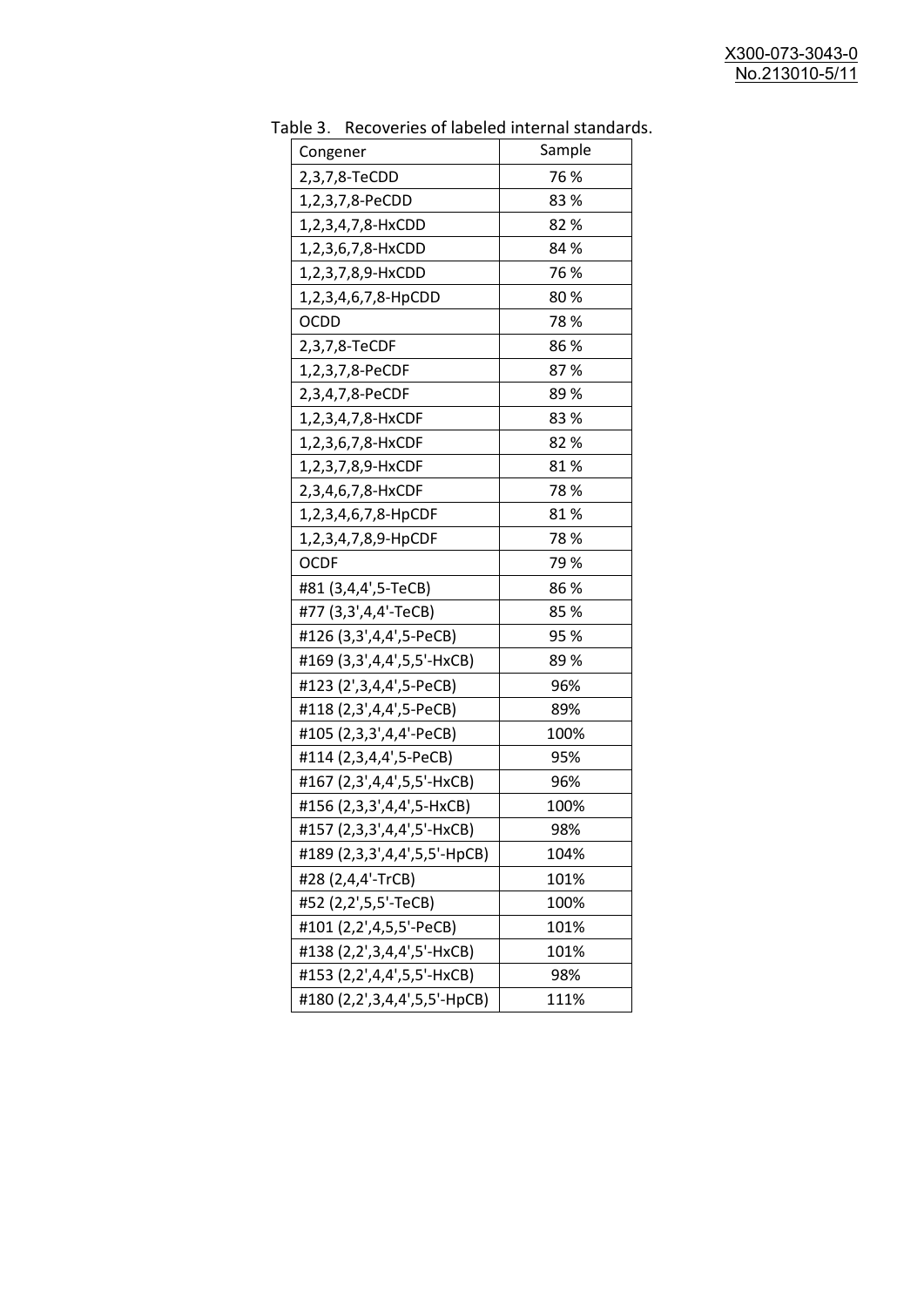| able 5. . Recoveries of labeled internal standar |        |
|--------------------------------------------------|--------|
| Congener                                         | Sample |
| 2,3,7,8-TeCDD                                    | 76 %   |
| 1,2,3,7,8-PeCDD                                  | 83%    |
| 1,2,3,4,7,8-HxCDD                                | 82%    |
| 1,2,3,6,7,8-HxCDD                                | 84 %   |
| 1,2,3,7,8,9-HxCDD                                | 76 %   |
| 1,2,3,4,6,7,8-HpCDD                              | 80%    |
| <b>OCDD</b>                                      | 78%    |
| 2,3,7,8-TeCDF                                    | 86 %   |
| 1,2,3,7,8-PeCDF                                  | 87%    |
| 2,3,4,7,8-PeCDF                                  | 89%    |
| 1,2,3,4,7,8-HxCDF                                | 83%    |
| 1,2,3,6,7,8-HxCDF                                | 82%    |
| 1,2,3,7,8,9-HxCDF                                | 81%    |
| 2,3,4,6,7,8-HxCDF                                | 78%    |
| 1,2,3,4,6,7,8-HpCDF                              | 81%    |
| 1,2,3,4,7,8,9-HpCDF                              | 78%    |
| <b>OCDF</b>                                      | 79%    |
| #81 (3,4,4',5-TeCB)                              | 86 %   |
| #77 (3,3',4,4'-TeCB)                             | 85%    |
| #126 (3,3',4,4',5-PeCB)                          | 95 %   |
| #169 (3,3',4,4',5,5'-HxCB)                       | 89%    |
| #123 (2',3,4,4',5-PeCB)                          | 96%    |
| #118 (2,3',4,4',5-PeCB)                          | 89%    |
| #105 (2,3,3',4,4'-PeCB)                          | 100%   |
| #114 (2,3,4,4',5-PeCB)                           | 95%    |
| #167 (2,3',4,4',5,5'-HxCB)                       | 96%    |
| #156 (2,3,3',4,4',5-HxCB)                        | 100%   |
| #157 (2,3,3',4,4',5'-HxCB)                       | 98%    |
| #189 (2,3,3',4,4',5,5'-HpCB)                     | 104%   |
| #28 (2,4,4'-TrCB)                                | 101%   |
| #52 (2,2',5,5'-TeCB)                             | 100%   |
| #101 (2,2',4,5,5'-PeCB)                          | 101%   |
| #138 (2,2',3,4,4',5'-HxCB)                       | 101%   |
| #153 (2,2',4,4',5,5'-HxCB)                       | 98%    |
| #180 (2,2',3,4,4',5,5'-HpCB)                     | 111%   |

Table 3. Recoveries of labeled internal standards.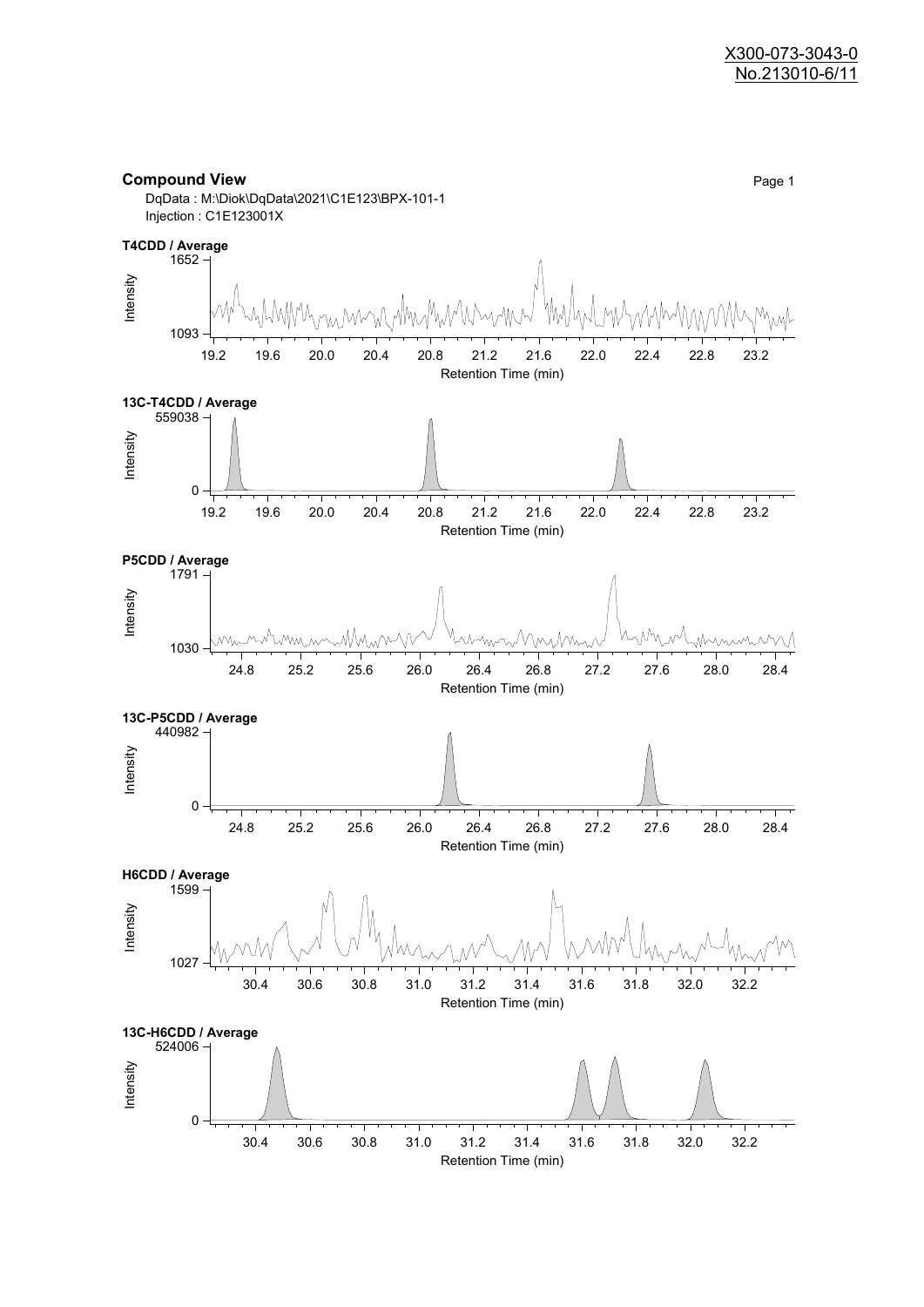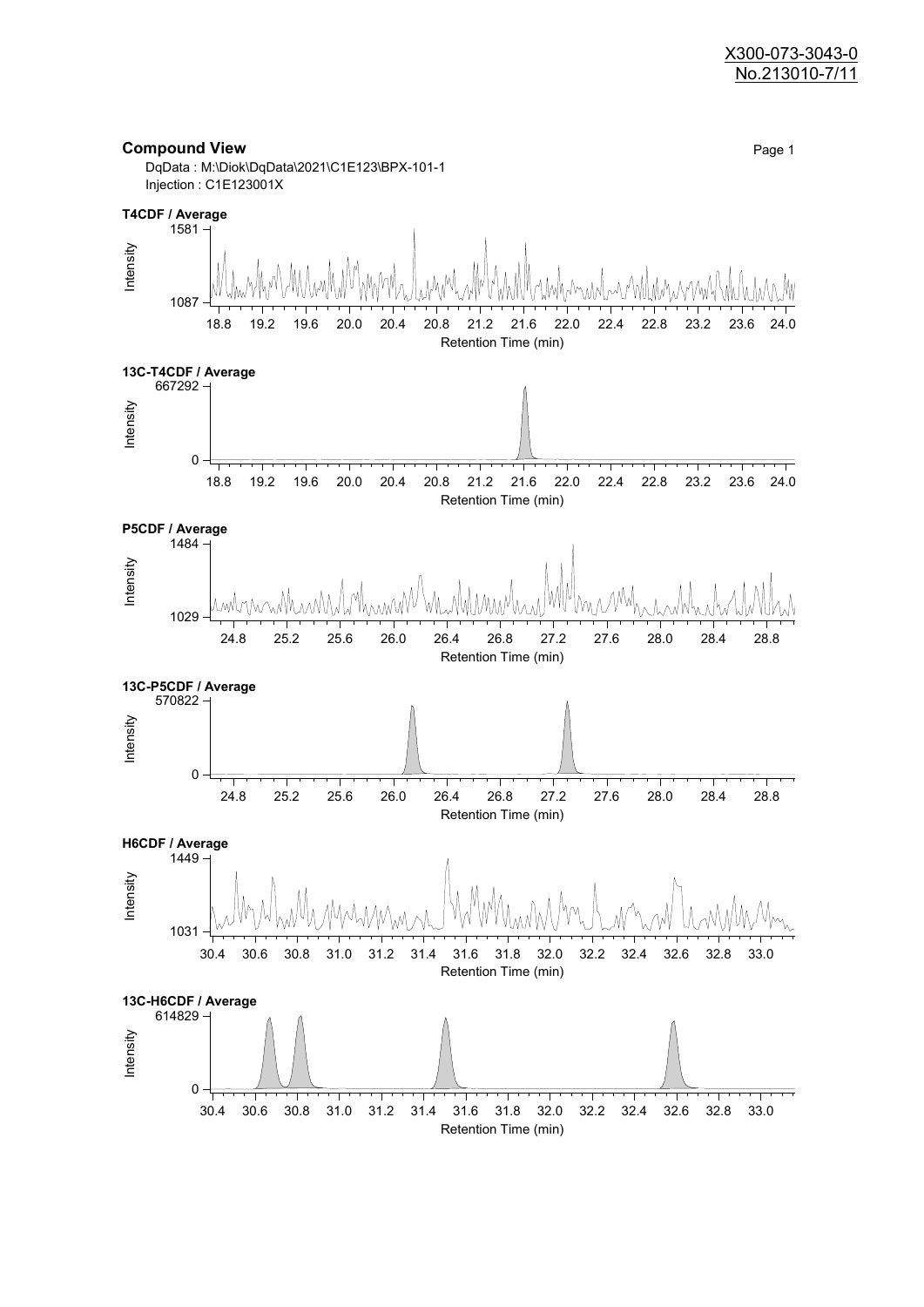#### X300-073-3043-0 No.213010-7/11

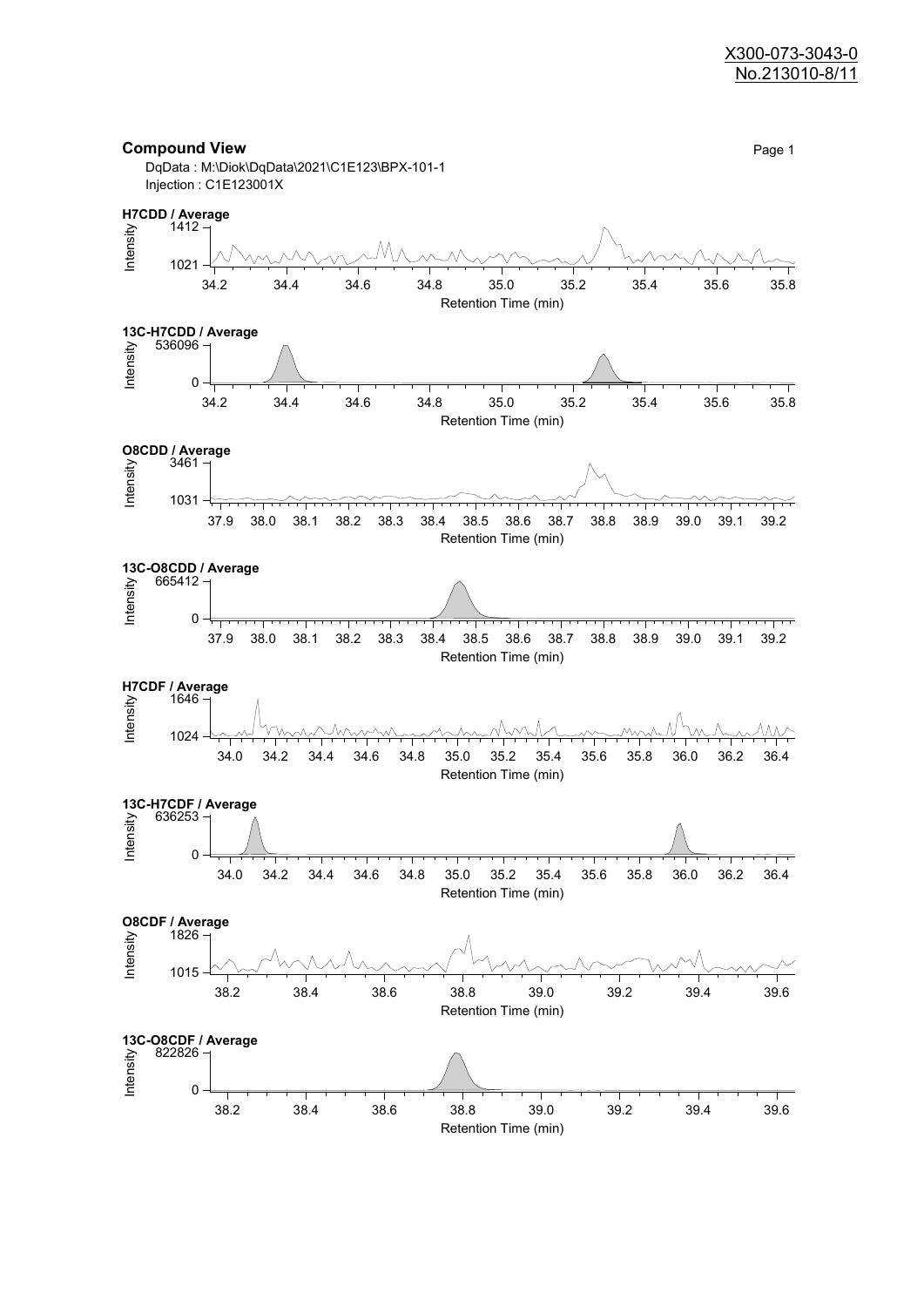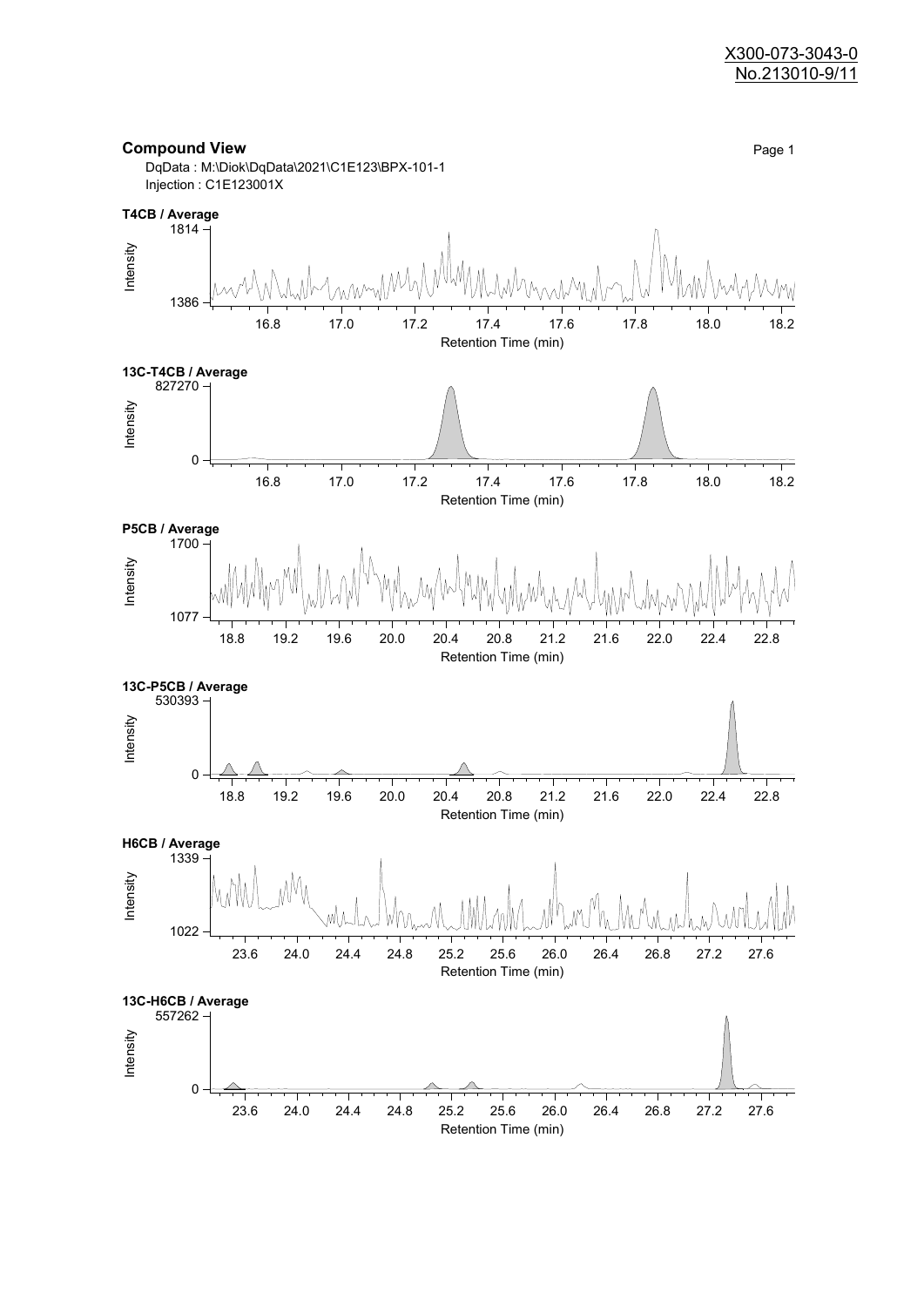![](_page_8_Figure_1.jpeg)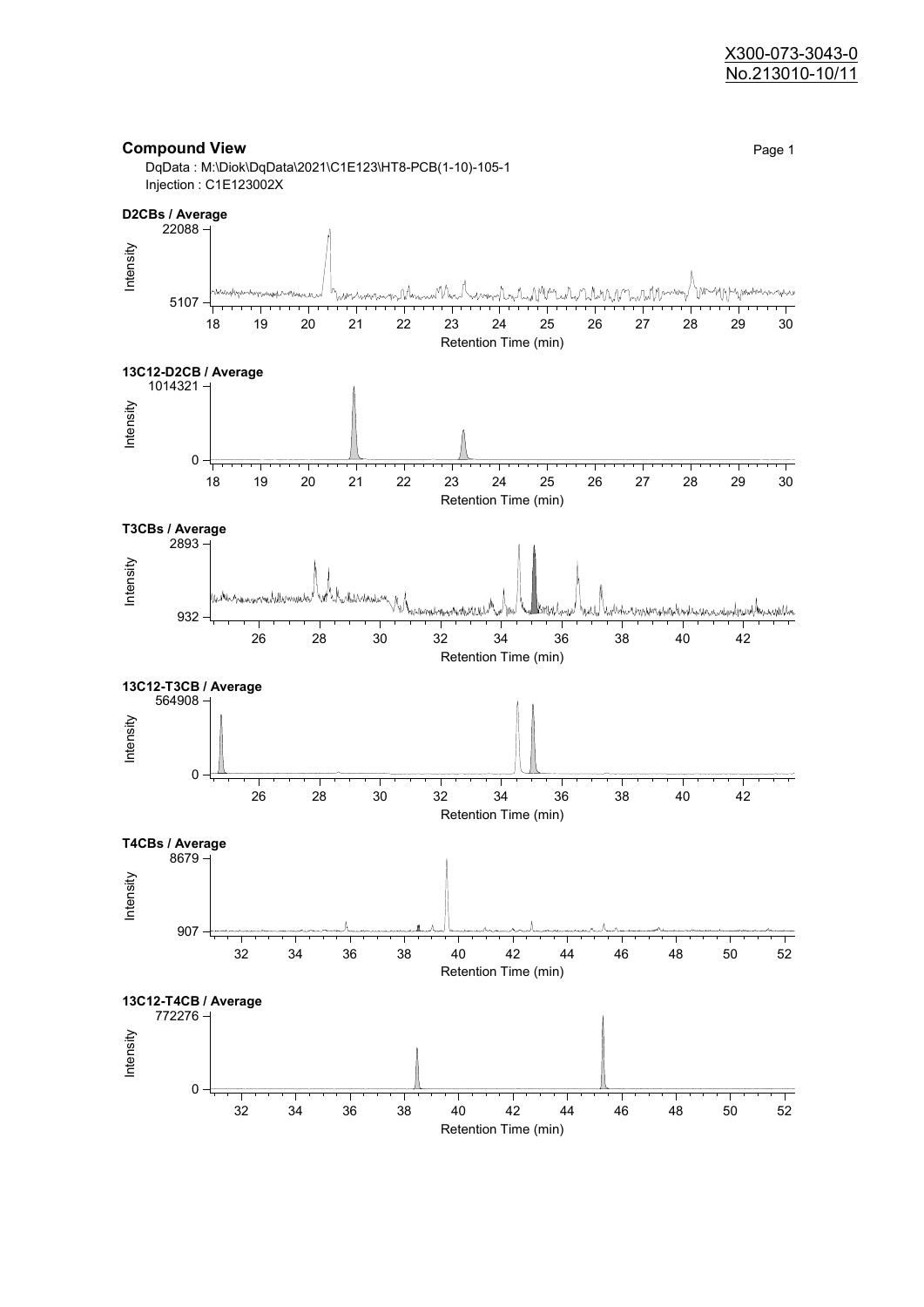![](_page_9_Figure_1.jpeg)